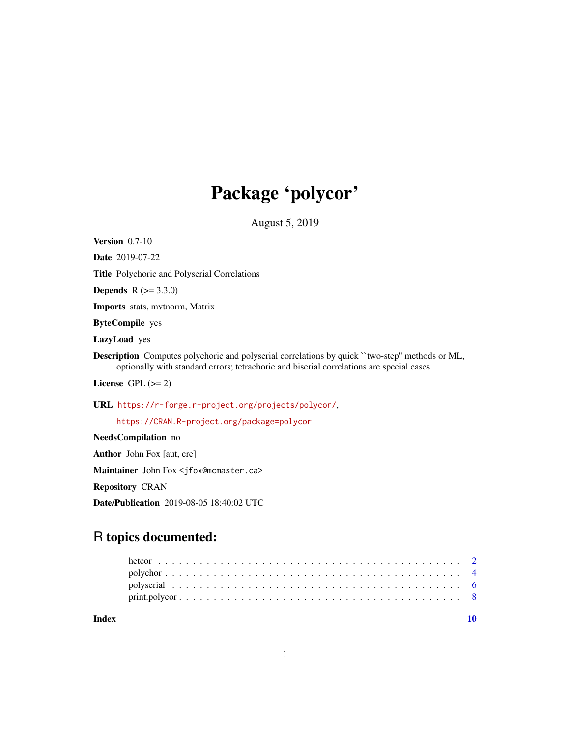## Package 'polycor'

August 5, 2019

<span id="page-0-0"></span>Version 0.7-10

Date 2019-07-22

Title Polychoric and Polyserial Correlations

**Depends**  $R$  ( $>= 3.3.0$ )

Imports stats, mvtnorm, Matrix

ByteCompile yes

LazyLoad yes

Description Computes polychoric and polyserial correlations by quick "two-step" methods or ML, optionally with standard errors; tetrachoric and biserial correlations are special cases.

License GPL  $(>= 2)$ 

URL <https://r-forge.r-project.org/projects/polycor/>,

<https://CRAN.R-project.org/package=polycor>

NeedsCompilation no Author John Fox [aut, cre] Maintainer John Fox <jfox@mcmaster.ca> Repository CRAN Date/Publication 2019-08-05 18:40:02 UTC

### R topics documented:

| Index |  |  |  |  |  |  |  |  |  |  |  |  |  |  |  |  |  |  |
|-------|--|--|--|--|--|--|--|--|--|--|--|--|--|--|--|--|--|--|

1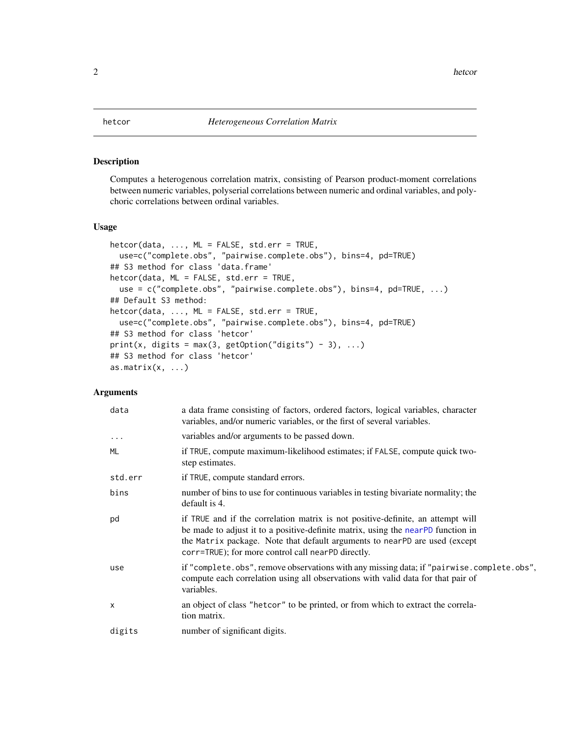#### <span id="page-1-1"></span><span id="page-1-0"></span>Description

Computes a heterogenous correlation matrix, consisting of Pearson product-moment correlations between numeric variables, polyserial correlations between numeric and ordinal variables, and polychoric correlations between ordinal variables.

#### Usage

```
hetcor(data, ..., ML = FALSE, std.err = TRUE,
 use=c("complete.obs", "pairwise.complete.obs"), bins=4, pd=TRUE)
## S3 method for class 'data.frame'
hetcor(data, ML = FALSE, std.err = TRUE,
  use = c("complete.obs", "pairwise.complete.obs"), bins=4, pd=TRUE, ...)
## Default S3 method:
hetcor(data, ..., ML = FALSE, std.err = TRUE,
  use=c("complete.obs", "pairwise.complete.obs"), bins=4, pd=TRUE)
## S3 method for class 'hetcor'
print(x, digits = max(3, getOption("digits") - 3), ...)## S3 method for class 'hetcor'
as.matrix(x, \ldots)
```
#### Arguments

| data         | a data frame consisting of factors, ordered factors, logical variables, character<br>variables, and/or numeric variables, or the first of several variables.                                                                                                                                            |
|--------------|---------------------------------------------------------------------------------------------------------------------------------------------------------------------------------------------------------------------------------------------------------------------------------------------------------|
| $\cdots$     | variables and/or arguments to be passed down.                                                                                                                                                                                                                                                           |
| ML           | if TRUE, compute maximum-likelihood estimates; if FALSE, compute quick two-<br>step estimates.                                                                                                                                                                                                          |
| std.err      | if TRUE, compute standard errors.                                                                                                                                                                                                                                                                       |
| bins         | number of bins to use for continuous variables in testing bivariate normality; the<br>default is 4.                                                                                                                                                                                                     |
| pd           | if TRUE and if the correlation matrix is not positive-definite, an attempt will<br>be made to adjust it to a positive-definite matrix, using the nearPD function in<br>the Matrix package. Note that default arguments to nearPD are used (except<br>corr=TRUE); for more control call nearPD directly. |
| use          | if "complete.obs", remove observations with any missing data; if "pairwise.complete.obs",<br>compute each correlation using all observations with valid data for that pair of<br>variables.                                                                                                             |
| $\mathsf{x}$ | an object of class "hetcor" to be printed, or from which to extract the correla-<br>tion matrix.                                                                                                                                                                                                        |
| digits       | number of significant digits.                                                                                                                                                                                                                                                                           |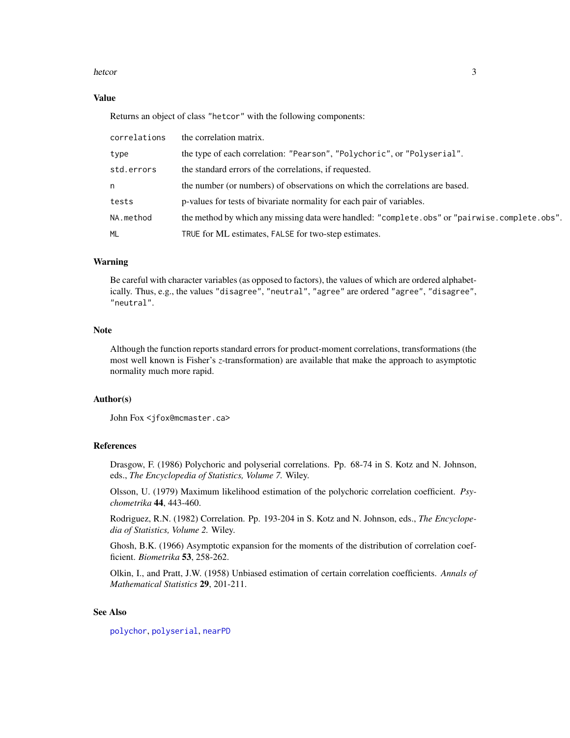#### <span id="page-2-0"></span>hetcor 3

#### Value

Returns an object of class "hetcor" with the following components:

| correlations | the correlation matrix.                                                                       |
|--------------|-----------------------------------------------------------------------------------------------|
| type         | the type of each correlation: "Pearson", "Polychoric", or "Polyserial".                       |
| std.errors   | the standard errors of the correlations, if requested.                                        |
| n            | the number (or numbers) of observations on which the correlations are based.                  |
| tests        | p-values for tests of bivariate normality for each pair of variables.                         |
| NA.method    | the method by which any missing data were handled: "complete.obs" or "pairwise.complete.obs". |
| ML           | TRUE for ML estimates, FALSE for two-step estimates.                                          |

#### Warning

Be careful with character variables (as opposed to factors), the values of which are ordered alphabetically. Thus, e.g., the values "disagree", "neutral", "agree" are ordered "agree", "disagree", "neutral".

#### **Note**

Although the function reports standard errors for product-moment correlations, transformations (the most well known is Fisher's *z*-transformation) are available that make the approach to asymptotic normality much more rapid.

#### Author(s)

John Fox <jfox@mcmaster.ca>

#### References

Drasgow, F. (1986) Polychoric and polyserial correlations. Pp. 68-74 in S. Kotz and N. Johnson, eds., *The Encyclopedia of Statistics, Volume 7.* Wiley.

Olsson, U. (1979) Maximum likelihood estimation of the polychoric correlation coefficient. *Psychometrika* 44, 443-460.

Rodriguez, R.N. (1982) Correlation. Pp. 193-204 in S. Kotz and N. Johnson, eds., *The Encyclopedia of Statistics, Volume 2.* Wiley.

Ghosh, B.K. (1966) Asymptotic expansion for the moments of the distribution of correlation coefficient. *Biometrika* 53, 258-262.

Olkin, I., and Pratt, J.W. (1958) Unbiased estimation of certain correlation coefficients. *Annals of Mathematical Statistics* 29, 201-211.

#### See Also

[polychor](#page-3-1), [polyserial](#page-5-1), [nearPD](#page-0-0)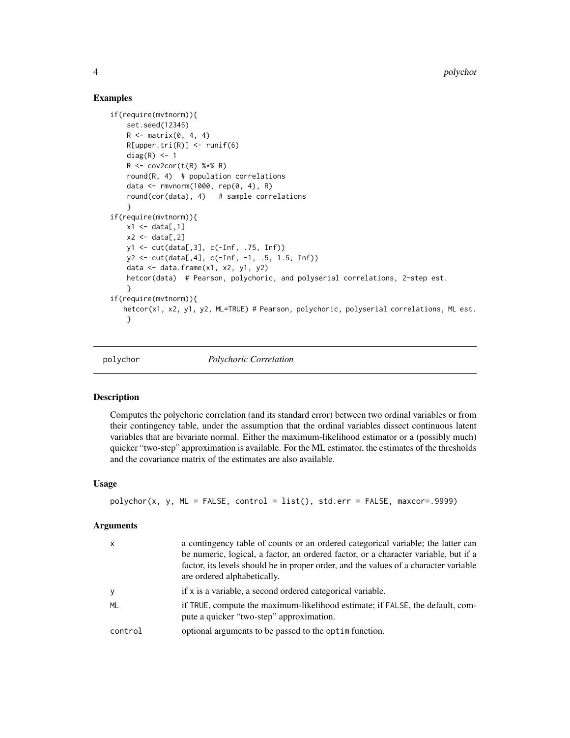#### Examples

```
if(require(mvtnorm)){
    set.seed(12345)
    R \leq - matrix(0, 4, 4)
   R[upper.tri(R)] \leftarrow runif(6)diag(R) <- 1
    R <- cov2cor(t(R) %*% R)
    round(R, 4) # population correlations
    data <- rmvnorm(1000, rep(0, 4), R)
    round(cor(data), 4) # sample correlations
    }
if(require(mvtnorm)){
   x1 \leftarrow data[, 1]x2 \leftarrow data[, 2]y1 <- cut(data[,3], c(-Inf, .75, Inf))
   y2 \leq cut(data[, 4], c(-Inf, -1, .5, 1.5, Inf))data \leq data.frame(x1, x2, y1, y2)hetcor(data) # Pearson, polychoric, and polyserial correlations, 2-step est.
    }
if(require(mvtnorm)){
   hetcor(x1, x2, y1, y2, ML=TRUE) # Pearson, polychoric, polyserial correlations, ML est.
    }
```
<span id="page-3-1"></span>

polychor *Polychoric Correlation*

#### Description

Computes the polychoric correlation (and its standard error) between two ordinal variables or from their contingency table, under the assumption that the ordinal variables dissect continuous latent variables that are bivariate normal. Either the maximum-likelihood estimator or a (possibly much) quicker "two-step" approximation is available. For the ML estimator, the estimates of the thresholds and the covariance matrix of the estimates are also available.

#### Usage

```
polychor(x, y, ML = FALSE, control = list(), std.err = FALSE, maxcor = .9999)
```
#### Arguments

| $\mathsf{x}$ | a contingency table of counts or an ordered categorical variable; the latter can<br>be numeric, logical, a factor, an ordered factor, or a character variable, but if a<br>factor, its levels should be in proper order, and the values of a character variable<br>are ordered alphabetically. |
|--------------|------------------------------------------------------------------------------------------------------------------------------------------------------------------------------------------------------------------------------------------------------------------------------------------------|
| у            | if x is a variable, a second ordered categorical variable.                                                                                                                                                                                                                                     |
| ML           | if TRUE, compute the maximum-likelihood estimate; if FALSE, the default, com-<br>pute a quicker "two-step" approximation.                                                                                                                                                                      |
| control      | optional arguments to be passed to the optime function.                                                                                                                                                                                                                                        |

<span id="page-3-0"></span>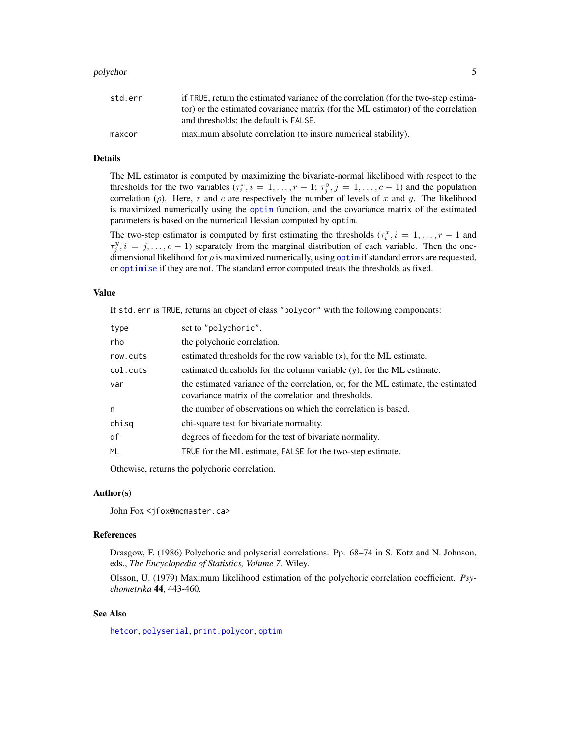#### <span id="page-4-0"></span>polychor 5

| std.err | if TRUE, return the estimated variance of the correlation (for the two-step estima- |
|---------|-------------------------------------------------------------------------------------|
|         | tor) or the estimated covariance matrix (for the ML estimator) of the correlation   |
|         | and thresholds; the default is FALSE.                                               |
| maxcor  | maximum absolute correlation (to insure numerical stability).                       |

### Details

The ML estimator is computed by maximizing the bivariate-normal likelihood with respect to the thresholds for the two variables  $(\tau_i^x, i = 1, \ldots, r-1; \tau_j^y, j = 1, \ldots, c-1)$  and the population correlation ( $\rho$ ). Here, r and c are respectively the number of levels of x and y. The likelihood is maximized numerically using the [optim](#page-0-0) function, and the covariance matrix of the estimated parameters is based on the numerical Hessian computed by optim.

The two-step estimator is computed by first estimating the thresholds  $(\tau_i^x, i = 1, \ldots, r - 1$  and  $\tau_j^y$ ,  $i = j, \ldots, c - 1$ ) separately from the marginal distribution of each variable. Then the onedimensional likelihood for  $\rho$  is maximized numerically, using [optim](#page-0-0) if standard errors are requested, or [optimise](#page-0-0) if they are not. The standard error computed treats the thresholds as fixed.

#### Value

If std.err is TRUE, returns an object of class "polycor" with the following components:

| type     | set to "polychoric".                                                                                                                      |
|----------|-------------------------------------------------------------------------------------------------------------------------------------------|
| rho      | the polychoric correlation.                                                                                                               |
| row.cuts | estimated thresholds for the row variable $(x)$ , for the ML estimate.                                                                    |
| col.cuts | estimated thresholds for the column variable $(y)$ , for the ML estimate.                                                                 |
| var      | the estimated variance of the correlation, or, for the ML estimate, the estimated<br>covariance matrix of the correlation and thresholds. |
| n        | the number of observations on which the correlation is based.                                                                             |
| chisq    | chi-square test for bivariate normality.                                                                                                  |
| df       | degrees of freedom for the test of bivariate normality.                                                                                   |
| ML       | TRUE for the ML estimate, FALSE for the two-step estimate.                                                                                |
|          |                                                                                                                                           |

Othewise, returns the polychoric correlation.

#### Author(s)

John Fox <jfox@mcmaster.ca>

#### References

Drasgow, F. (1986) Polychoric and polyserial correlations. Pp. 68–74 in S. Kotz and N. Johnson, eds., *The Encyclopedia of Statistics, Volume 7.* Wiley.

Olsson, U. (1979) Maximum likelihood estimation of the polychoric correlation coefficient. *Psychometrika* 44, 443-460.

#### See Also

[hetcor](#page-1-1), [polyserial](#page-5-1), [print.polycor](#page-7-1), [optim](#page-0-0)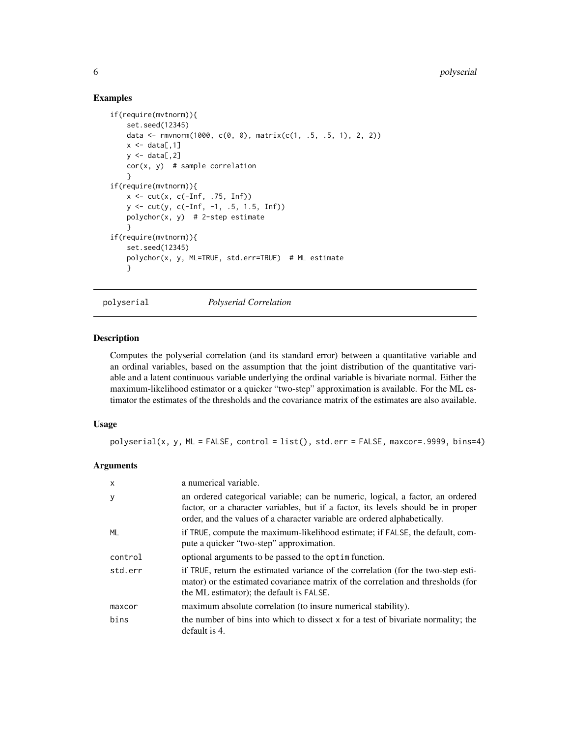#### Examples

```
if(require(mvtnorm)){
    set.seed(12345)
    data <- rmvnorm(1000, c(0, 0), matrix(c(1, .5, .5, 1), 2, 2))
   x \leftarrow \text{data}[, 1]y \leq - data[,2]
   cor(x, y) # sample correlation
    }
if(require(mvtnorm)){
    x \leftarrow cut(x, c(-Inf, .75, Inf))y <- cut(y, c(-Inf, -1, .5, 1.5, Inf))
   polychor(x, y) # 2-step estimate
    }
if(require(mvtnorm)){
   set.seed(12345)
    polychor(x, y, ML=TRUE, std.err=TRUE) # ML estimate
    }
```
<span id="page-5-1"></span>polyserial *Polyserial Correlation*

#### Description

Computes the polyserial correlation (and its standard error) between a quantitative variable and an ordinal variables, based on the assumption that the joint distribution of the quantitative variable and a latent continuous variable underlying the ordinal variable is bivariate normal. Either the maximum-likelihood estimator or a quicker "two-step" approximation is available. For the ML estimator the estimates of the thresholds and the covariance matrix of the estimates are also available.

#### Usage

 $polyserial(x, y, ML = FALSE, control = list(), std.err = FALSE, maxcor = .9999, bins = 4)$ 

#### Arguments

| $\mathsf{x}$ | a numerical variable.                                                                                                                                                                                                                            |
|--------------|--------------------------------------------------------------------------------------------------------------------------------------------------------------------------------------------------------------------------------------------------|
| y            | an ordered categorical variable; can be numeric, logical, a factor, an ordered<br>factor, or a character variables, but if a factor, its levels should be in proper<br>order, and the values of a character variable are ordered alphabetically. |
| ML           | if TRUE, compute the maximum-likelihood estimate; if FALSE, the default, com-<br>pute a quicker "two-step" approximation.                                                                                                                        |
| control      | optional arguments to be passed to the optim function.                                                                                                                                                                                           |
| std.err      | if TRUE, return the estimated variance of the correlation (for the two-step esti-<br>mator) or the estimated covariance matrix of the correlation and thresholds (for<br>the ML estimator); the default is FALSE.                                |
| maxcor       | maximum absolute correlation (to insure numerical stability).                                                                                                                                                                                    |
| bins         | the number of bins into which to dissect x for a test of bivariate normality; the<br>default is 4.                                                                                                                                               |

<span id="page-5-0"></span>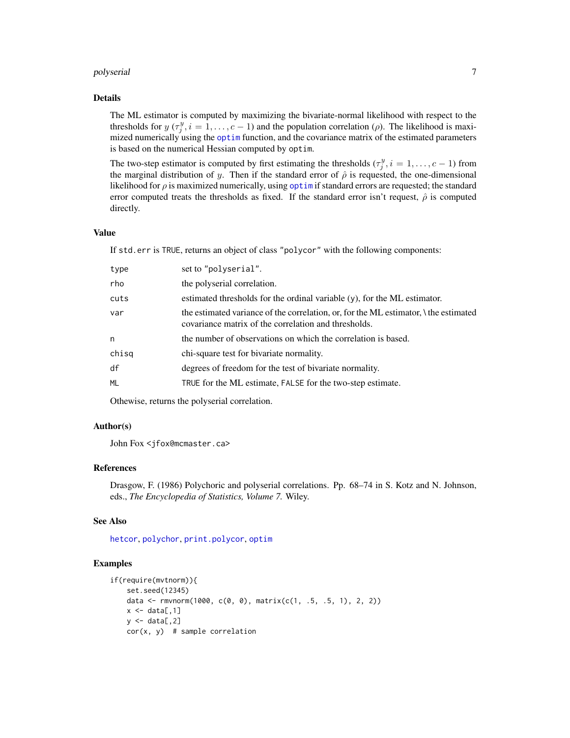#### <span id="page-6-0"></span>polyserial 7

#### Details

The ML estimator is computed by maximizing the bivariate-normal likelihood with respect to the thresholds for  $y(\tau_j^y, i = 1, \ldots, c-1)$  and the population correlation ( $\rho$ ). The likelihood is maximized numerically using the [optim](#page-0-0) function, and the covariance matrix of the estimated parameters is based on the numerical Hessian computed by optim.

The two-step estimator is computed by first estimating the thresholds  $(\tau_j^y, i = 1, \ldots, c-1)$  from the marginal distribution of y. Then if the standard error of  $\hat{\rho}$  is requested, the one-dimensional likelihood for  $\rho$  is maximized numerically, using [optim](#page-0-0) if standard errors are requested; the standard error computed treats the thresholds as fixed. If the standard error isn't request,  $\hat{\rho}$  is computed directly.

#### Value

If std.err is TRUE, returns an object of class "polycor" with the following components:

| type  | set to "polyserial".                                                                                                                         |
|-------|----------------------------------------------------------------------------------------------------------------------------------------------|
| rho   | the polyserial correlation.                                                                                                                  |
| cuts  | estimated thresholds for the ordinal variable $(y)$ , for the ML estimator.                                                                  |
| var   | the estimated variance of the correlation, or, for the ML estimator, \ the estimated<br>covariance matrix of the correlation and thresholds. |
| n     | the number of observations on which the correlation is based.                                                                                |
| chisq | chi-square test for bivariate normality.                                                                                                     |
| df    | degrees of freedom for the test of bivariate normality.                                                                                      |
| ML    | TRUE for the ML estimate, FALSE for the two-step estimate.                                                                                   |
|       |                                                                                                                                              |

Othewise, returns the polyserial correlation.

#### Author(s)

John Fox <jfox@mcmaster.ca>

#### References

Drasgow, F. (1986) Polychoric and polyserial correlations. Pp. 68–74 in S. Kotz and N. Johnson, eds., *The Encyclopedia of Statistics, Volume 7.* Wiley.

#### See Also

[hetcor](#page-1-1), [polychor](#page-3-1), [print.polycor](#page-7-1), [optim](#page-0-0)

#### Examples

```
if(require(mvtnorm)){
    set.seed(12345)
    data <- rmvnorm(1000, c(0, 0), matrix(c(1, .5, .5, 1), 2, 2))
    x \leftarrow \text{data}[, 1]y \leftarrow data[, 2]cor(x, y) # sample correlation
```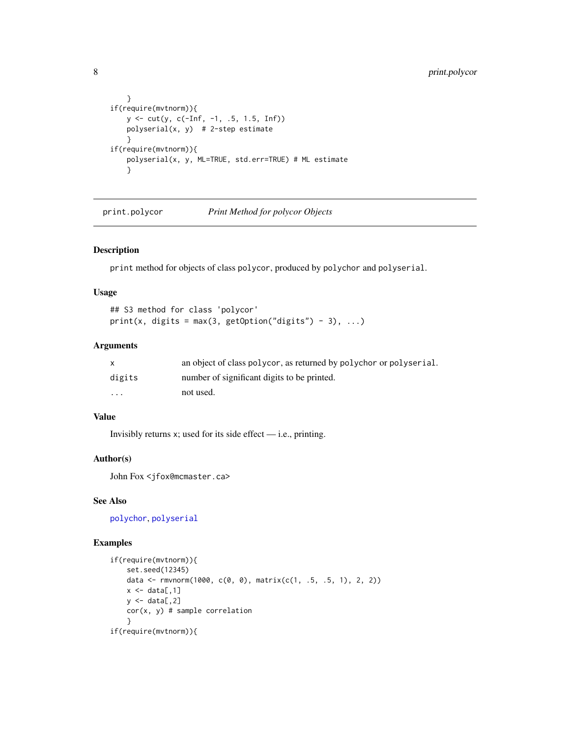```
}
if(require(mvtnorm)){
   y <- cut(y, c(-Inf, -1, .5, 1.5, Inf))
   polyserial(x, y) # 2-step estimate
    }
if(require(mvtnorm)){
   polyserial(x, y, ML=TRUE, std.err=TRUE) # ML estimate
    }
```
<span id="page-7-1"></span>print.polycor *Print Method for polycor Objects*

#### Description

print method for objects of class polycor, produced by polychor and polyserial.

#### Usage

```
## S3 method for class 'polycor'
print(x, digits = max(3, getOption("digits") - 3), ...)
```
#### Arguments

|                         | an object of class polycor, as returned by polychor or polyserial. |
|-------------------------|--------------------------------------------------------------------|
| digits                  | number of significant digits to be printed.                        |
| $\cdot$ $\cdot$ $\cdot$ | not used.                                                          |

#### Value

Invisibly returns  $x$ ; used for its side effect — i.e., printing.

#### Author(s)

John Fox <jfox@mcmaster.ca>

### See Also

[polychor](#page-3-1), [polyserial](#page-5-1)

#### Examples

```
if(require(mvtnorm)){
    set.seed(12345)
    data <- rmvnorm(1000, c(0, 0), matrix(c(1, .5, .5, 1), 2, 2))
    x \leftarrow \text{data}[, 1]y \leftarrow data[, 2]cor(x, y) # sample correlation
    }
if(require(mvtnorm)){
```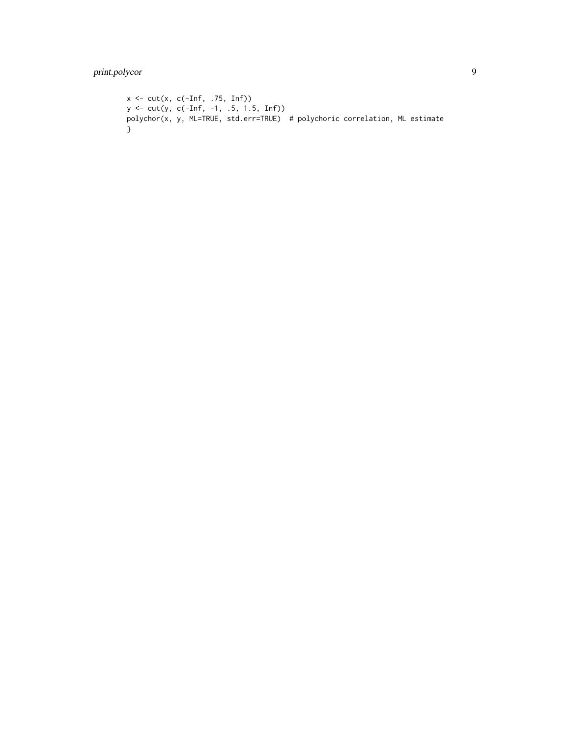```
x <- cut(x, c(-Inf, .75, Inf))
y <- cut(y, c(-Inf, -1, .5, 1.5, Inf))
polychor(x, y, ML=TRUE, std.err=TRUE) # polychoric correlation, ML estimate
}
```